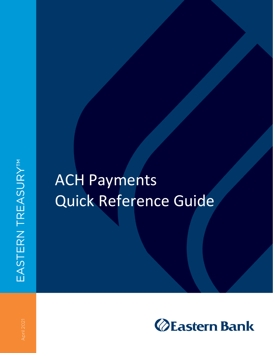## ACH Payments Quick Reference Guide

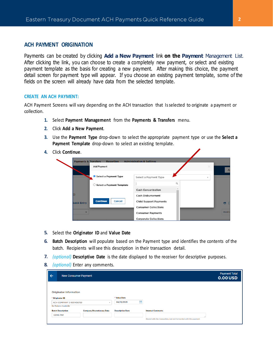## **ACH PAYMENT ORIGINATION**

Payments can be created by clicking **Add a New Payment link on the Payment** Management List. After clicking the link, you can choose to create a completely new payment, or select and existing payment template as the basis for creating a new payment. After making this choice, the payment detail screen for payment type will appear. If you choose an existing payment template, some of the fields on the screen will already have data from the selected template.

## **CREATE AN ACH PAYMENT:**

ACH Payment Screens will vary depending on the ACH transaction that Is selected to originate a payment or collection.

- **1.** Select **Payment Management** from the **Payments & Transfers** menu.
- **2.** Click **Add a New Payment**.
- **3.** Use the **Payment Type** drop-down to select the appropriate payment type or use the **Select a Payment Template** drop-down to select an existing template.
- **4.** Click **Continue**.

| <b>Payments &amp; Transfers</b> | Reporting<br><b>Add Payment</b>      | <b>Administration &amp; Settings</b> | × |
|---------------------------------|--------------------------------------|--------------------------------------|---|
|                                 | Select a Payment Type                | Select a Payment Type                |   |
|                                 | $\bigcirc$ Select a Payment Template | Q                                    |   |
|                                 |                                      | <b>Cash Concentration</b>            |   |
| $^{\circledR}$                  |                                      | Cash Disbursement                    |   |
| <b>Quick Entry</b>              | <b>Continue</b><br>Cancel            | Child Support Payments               |   |
|                                 |                                      | <b>Consumer Collections</b>          |   |
|                                 |                                      | <b>Consumer Payments</b>             |   |
|                                 |                                      | <b>Corporate Collections</b>         |   |

- Select the **Originator ID** and **Value Date**
- **Batch Description** will populate based on the Payment type and identifies the contents of the batch. Recipients will see this description in their transaction detail.
- *(optional)* **Descriptive Date** is the date displayed to the receiver for descriptive purposes.
- *(optional)* Enter any comments.

| ← | <b>New Consumer Payment</b>                     |                                   |                         | <b>Payment Total</b><br><b>0.00 USD</b>                         |
|---|-------------------------------------------------|-----------------------------------|-------------------------|-----------------------------------------------------------------|
|   | <b>Originator Information</b>                   |                                   |                         |                                                                 |
|   | * Originator ID                                 |                                   | * Value Date            |                                                                 |
|   | <b>ACH COMPANY 2-1031456759</b><br>$\mathbf{v}$ |                                   | 曲<br>04/12/2021         |                                                                 |
|   | No Balance Available                            |                                   |                         |                                                                 |
|   | <b>Batch Description</b>                        | <b>Company Discretionary Data</b> | <b>Descriptive Date</b> | <b>Internal Comments</b>                                        |
|   | <b>CONS PAY</b>                                 |                                   |                         |                                                                 |
|   |                                                 |                                   |                         | Stored with the transaction, but not forwarded with the payment |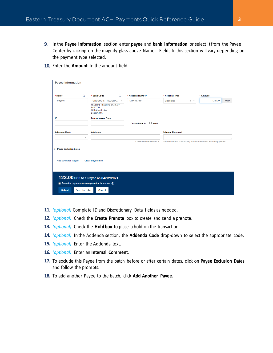- In the **Payee Information** section enter **payee** and **bank information** or select It from the Payee Center by clicking on the magnify glass above Name. Fields In this section will vary depending on the payment type selected.
- 10. Enter the **Amount** In the amount field.

| Payee Information                                        |           |                                                                                   |             |                                 |                         |                                                                                               |                                                                 |            |
|----------------------------------------------------------|-----------|-----------------------------------------------------------------------------------|-------------|---------------------------------|-------------------------|-----------------------------------------------------------------------------------------------|-----------------------------------------------------------------|------------|
|                                                          |           |                                                                                   |             |                                 |                         |                                                                                               |                                                                 |            |
|                                                          |           |                                                                                   |             |                                 |                         |                                                                                               |                                                                 |            |
| * Name                                                   | $\alpha$  | <b>Bank Code</b><br>٠                                                             | $\alpha$    | * Account Number                | * Account Type          |                                                                                               | * Amount                                                        |            |
| Payee1                                                   |           | 011000015 - FEDERA                                                                | $\mathbf v$ | 123456789                       | Checking                | $\times$ $\hspace{0.1cm}$ $\hspace{0.1cm}$ $\hspace{0.1cm}$ $\hspace{0.1cm}$ $\hspace{0.1cm}$ | 123.00                                                          | <b>USD</b> |
|                                                          |           | <b>FEDERAL RESERVE BANK OF</b><br><b>BOSTON</b><br>600 Atlantic Ave<br>Boston, MA |             |                                 |                         |                                                                                               |                                                                 |            |
| ID                                                       |           | <b>Discretionary Data</b>                                                         |             |                                 |                         |                                                                                               |                                                                 |            |
|                                                          |           |                                                                                   |             | Create Prenote<br>$\Box$ Hold   |                         |                                                                                               |                                                                 |            |
| <b>Addenda Code</b>                                      |           | <b>Addenda</b>                                                                    |             |                                 | <b>Internal Comment</b> |                                                                                               |                                                                 |            |
|                                                          | $\forall$ |                                                                                   |             |                                 |                         |                                                                                               |                                                                 |            |
|                                                          |           |                                                                                   |             | <b>Characters Remaining: 80</b> |                         |                                                                                               | Stored with the transaction, but not forwarded with the payment |            |
| > Payee Exclusion Dates                                  |           |                                                                                   |             |                                 |                         |                                                                                               |                                                                 |            |
| <b>Add Another Payee</b>                                 |           | <b>Clear Payee Info</b>                                                           |             |                                 |                         |                                                                                               |                                                                 |            |
|                                                          |           |                                                                                   |             |                                 |                         |                                                                                               |                                                                 |            |
|                                                          |           |                                                                                   |             |                                 |                         |                                                                                               |                                                                 |            |
|                                                          |           |                                                                                   |             |                                 |                         |                                                                                               |                                                                 |            |
| 123.00 USD to 1 Payee on 04/12/2021                      |           |                                                                                   |             |                                 |                         |                                                                                               |                                                                 |            |
| Save this payment as a template for future use $\hat{a}$ |           |                                                                                   |             |                                 |                         |                                                                                               |                                                                 |            |
| <b>Submit</b><br><b>Save for Later</b><br><b>Cancel</b>  |           |                                                                                   |             |                                 |                         |                                                                                               |                                                                 |            |
|                                                          |           |                                                                                   |             |                                 |                         |                                                                                               |                                                                 |            |

- *(optional)* Complete ID and Discretionary Data fields as needed.
- *(optional)* Check the **Create Prenote** box to create and send a prenote.
- *(optional)* Check the **Hold box** to place a hold on the transaction.
- *(optional)* In the Addenda section, the **Addenda Code** drop-down to select the appropriate code.
- 15. *(optional)* Enter the Addenda text.
- *(optional)* Enter an **Internal Comment**.
- To exclude this Payee from the batch before or after certain dates, click on **Payee Exclusion Dates** and follow the prompts.
- To add another Payee to the batch, click **Add Another Payee.**